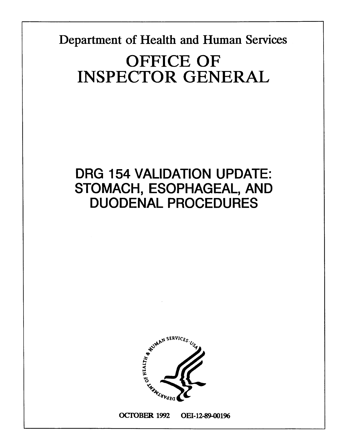**Department of Health and Human Services** 

# **OFFICE OF NSPECTOR GENERAL**

## **DRG 154 VALIDATION UPDATE: STOMACH, ESOPHAGEAL, AND DUODENAL PROCEDURES**



OCTOBER 1992 OEI-12-89-00196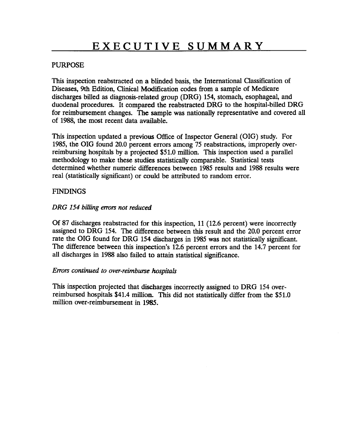#### PURPOSE

This inspection reabstracted on a blinded basis, the International Classification of Diseases, 9th Edition, Clinical Modification codes from a sample of Medicare discharges billed as diagnosis-related group (DRG) 154, stomach, esophageal, and duodenal procedures. It compared the reabstracted DRG to the hospital-billed DRG for reimbursement changes. The sample was nationally representative and covered all of 1988, the most recent data available.

This inspection updated a previous Office of Inspector General (OIG) study. For 1985, the OIG found 20.0 percent errors among 75 reabstractions, improperly overreimbursing hospitals by a projected \$51.0 million. This inspection used a parallel methodology to make these studies statistically comparable. Statistical tests determined whether numeric differences between 1985 results and 1988 results were real (statistically significant) or could be attributed to random error.

#### FINDINGS

#### *DRG 154 billing erron not reduced*

Of 87 discharges reabstracted for this inspection, 11 (12.6 percent) were incorrectly assigned to DRG 154. The difference between this result and the 20.0 percent error rate the OIG found for DRG 154 discharges in 1985 was not statistically significant. The difference between this inspection's 12.6 percent errors and the 14.7 percent for all discharges in 1988 also failed to attain statistical significance.

#### Errors continued to over-reimburse hospitals

This inspection projected that discharges incorrectly assigned to DRG 154 overreimbursed hospitals \$41.4 million. This did not statistically differ from the \$51.0 million over-reimbursement in 1985.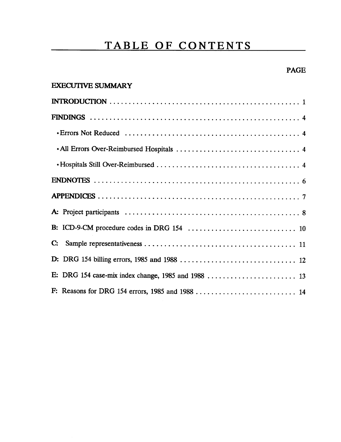### **TABLE OF CONTENTS**

#### PAGE

#### EXECUTIVE SUMMARY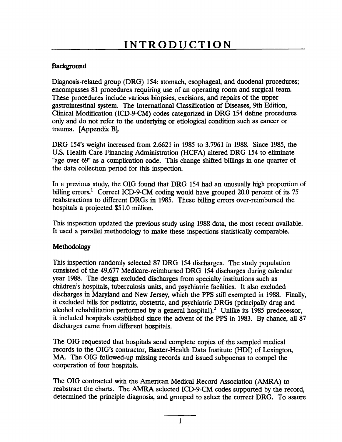#### Background

Diagnosis-related group (DRG) 154: stomach, esophageal, and duodenal procedures; encompasses 81 procedures requiring use of an operating room and surgical team. These procedures include various biopsies, excisions, and repairs of the upper gastrointestinal system. The International Classification of Diseases, 9th Edition, Clinical Modification (ICD-9-CM) codes categorized in DRG 154 define procedures only and do not refer to the underlying or etiological condition such as cancer or trauma. [Appendix B].

DRG 154's weight increased from 2.6621 in 1985 to 3.7961 in 1988. Since 1985, the U.S. Health Care Financing Administration (HCFA) altered DRG 154 to eliminate "age over 69" as a complication code. This change shifted billings in one quarter of the data collection period for this inspection.

In a previous study, the OIG found that DRG 154 had an unusually high proportion of billing errors.<sup>1</sup> Correct ICD-9-CM coding would have grouped 20.0 percent of its 75 reabstractions to different DRGs in 1985. These billing errors over-reimbursed the hospitals a projected \$51.0 million.

This inspection updated the previous study using 1988 data, the most recent available. It used a parallel methodology to make these inspections statistically comparable.

#### **Methodology**

This inspection randomly selected 87 DRG 154 discharges. The study population consisted of the 49,677 Medicare-reimbursed DRG 1S4 discharges during calendar year 1988. The design excluded discharges from specialty institutions such as children's hospitals, tuberculosis units, and psychiatric facilities. It also excluded discharges in Maryland and New Jersey, which the PPS still exempted in 1988. Finally, it excluded bills for pediatric, obstetric, and psychiatric DRGs (principally drug and alcohol rehabilitation performed by a general hospital).<sup>2</sup> Unlike its 1985 predecessor, it included hospitals established since the advent of the PPS in 1983. By chance, all 87 discharges came from different hospitals.

The OIG requested that hospitals send complete copies of the sampled medical records to the OIG's contractor, Baxter-Health Data Institute (HDI) of Lexington, MA. The OIG followed-up missing records and issued subpoenas to compel the cooperation of four hospitals.

The OIG contracted with the American Medical Record Association (AMRA) to reabstract the charts. The AMRA selected ICD-9-CM codes supported by the record, determined the principle diagnosis, and grouped to select the correct DRG. To assure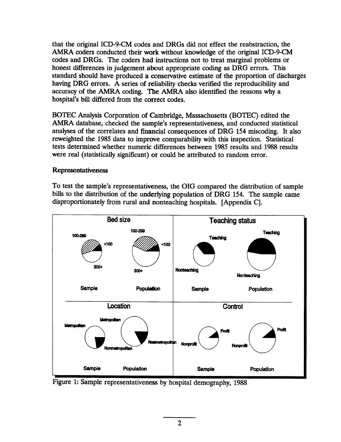that the original ICD-9-CM codes and DRGs did not effect the reabstraction, the AMRA coders conducted their work without knowledge of the original ICD-9-CM codes and DRGs. The coders had instructions not to treat marginal problems or honest differences in judgement about appropriate coding as DRG errors. This standard should have produced a conservative estimate of the proportion of discharges having DRG errors. A series of reliability checks verified the reproducibility and accuracy of the AMRA coding. The AMRA also identified the reasons why a hospital's bill differed from the correct codes.

BOTEC Analysis Corporation of Cambridge, Massachusetts (BOTEC) edited the AMRA database, checked the sample's representativeness, and conducted statistical analyses of the correlates and financial consequences of DRG 154 miscoding. It also reweighted the 1985 data to improve comparability with this inspection. Statistical tests determined whether numeric differences between 1985 results and 1988 results were real (statistically significant) or could be attributed to random error.

#### Representativeness

To test the sample's representativeness, the OIG compared the distribution of sample bills to the distribution of the underlying population of DRG 154. The sample came disproportionately from rural and nonteaching hospitals. [Appendix C].



Figure 1: Sample representativeness by hospital demography, 1988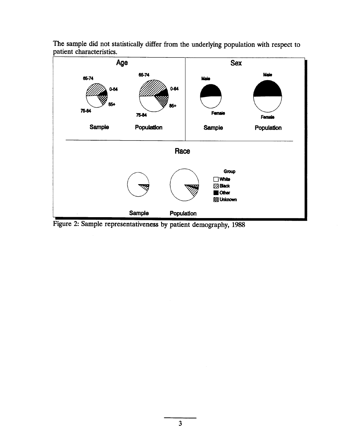

The sample did not statistically differ from the underlying population with respect to patient characteristics.

Figure 2: Sample representativeness by patient demography, 1988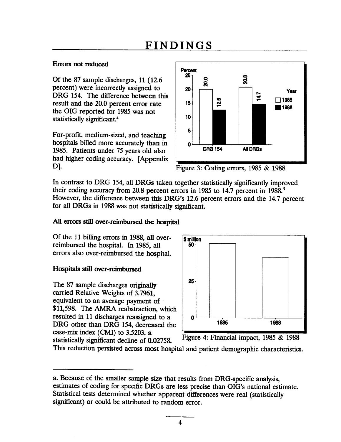#### Errors not reduced

Of the 87 sample discharges, 11 (12.6 DRG 154. The difference between this<br>result and the 20.0 percent error rate  $\begin{vmatrix} 15 \end{vmatrix}$   $\begin{vmatrix} 0 \end{vmatrix}$ the OIG reported for 1985 was not statistically significant. $\frac{1}{2}$  10

For-profit, medium-sized, and teaching **<sup>5</sup>** hospitals billed more accurately than in 1985. Patients under 75 years old also<br>had higher coding accuracy. [Appendix had higher coding accuracy. The higher coding errors, 1985 & 1988



In contrast to DRG 154, all DRGs taken together statistically significantly improved their coding accuracy from 20.8 percent errors in 1985 to 14.7 percent in 1988? However, the difference between this DRG's 12.6 percent errors and the 14.7 percent for all DRGs in 1988 was not statistically significant.

#### All errors still over-reimbursed the hospital

Of the 11 billing errors in 1988, all overreimbursed the hospital. In 1985, all errors also over-reimbursed the hospital.

#### Hospitals still over-reimbursed

The 87 sample discharges originally carried Relative Weights of 3.7961, equivalent to an average payment of \$11,598. The AMRA reabstraction, which resulted in 11 discharges reassigned to a DRG other than DRG 154, decreased the case-mix index (CMI) to 3.5203, a statistically significant decline of 0.02758.



Figure 4: Financial impact, 1985 & 1988

This reduction persisted across most hospital and patient demographic characteristics.

**a.** Because of the smaller sample size that results from DRG-specific analysis, estimates of coding for specific DRGs are less precise than OIG'S national estimate. Statistical tests determined whether apparent differences were real (statistically significant) or could be attributed to random error.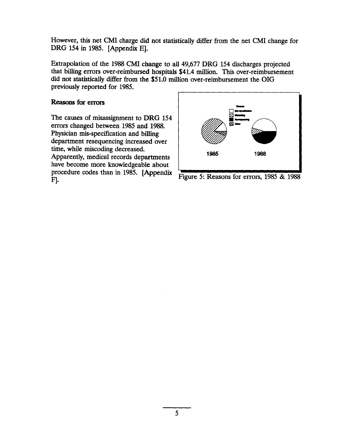However, this net CMI charge did not statistically differ from the net CMI change for DRG 154 in 1985. [Appendix E].

Extrapolation of the 1988 CMI change to all 49,677 DRG 154 discharges projected that billing errors over-reimbursed hospitals \$41.4 million. This over-reimbursement did not statistically differ from the \$51.0 million over-reimbursement the OIG previously reported for 1985.

#### Reasons for errors

The causes of misassignment to DRG 154 errors changed between 1985 and 1988. Physician mis-specification and billing department resequencing increased over time, while miscoding decreased. 1985 and the movements apparently, medical records departments 1985 1988 have become more knowledgeable about<br>procedure codes than in 1985. [Appendix F1.



Figure 5: Reasons for errors, 1985  $& 1988$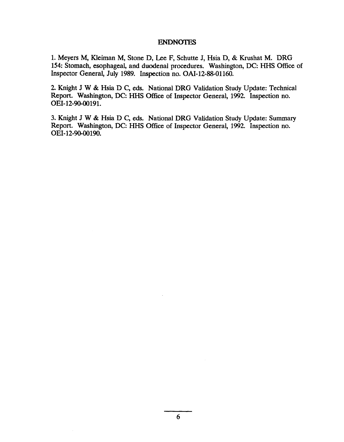#### ENDNOTES

1. Meyers M, Kleiman M, Stone D, Lee F, Schutte J, Hsia D, & Krushat M. DRG 154: Stomach, esophageal, and duodenal procedures. Washington, DC: HHS Office of Inspector General, July 1989. Inspection no. OAI-12-88-01160.

2. Knight J W & Hsia D C, eds. National DRG Validation Study Update: Technical Report. Washington, DC. HHS Office of Inspector General, 1992. Inspection no. OEI-12-90-00191.

*3.* Knight J W & Hsia D C, eds. National DRG Validation Study Update: Summary Report. Washington, DC: HHS Office of Inspector General, 1992. Inspection no. 0EI-12-90-O0190.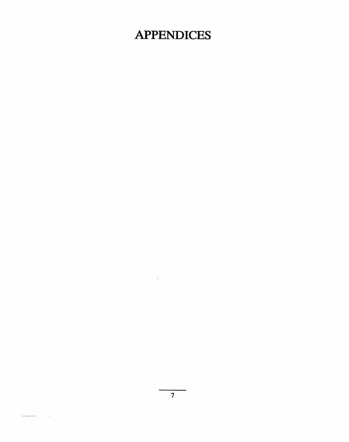### **APPENDICES**

المتحاسب المتحلف

 $\mathcal{L}^{\text{max}}_{\text{max}}$  , where  $\mathcal{L}^{\text{max}}_{\text{max}}$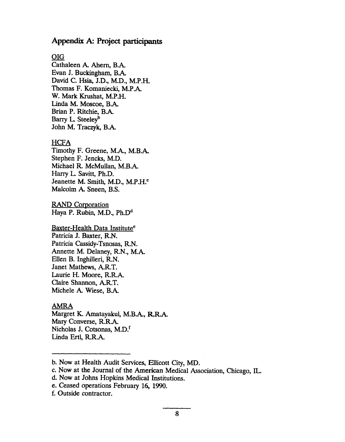#### **Appendix A: Project participants**

#### **QIQ**

Cathaleen A. Ahern, B.A. Evan J. Buckingham, B.A. David C. Hsia, J.D., M.D., M.P.H. Thomas F. Komaniecki, M.P.A. W. Mark Krushat, M.P.H. Linda M. Moscoe, B.A Brian P. Ritchie, B.A. Barry L. Steeley<sup>b</sup> John M. Traczyk, B.A.

#### HCFA

Timothy F. Greene, M.A., M.B.A-Stephen F. Jencks, M.D. Michael R. McMullan, M.B.A. Harry L. Savitt, Ph.D. Jeanette M. Smith, M.D., M.P.H.<sup>c</sup> Malcolm A. Sneen, B.S.

RAND Corporation Haya P. Rubin, M.D., Ph.D<sup>d</sup>

Baxter-Health Data Institute<sup>e</sup> Patricia J. Baxter, R.N. Patricia Cassidy-Tsnosas, R.N. Annette M. Delaney, R.N., M.A Ellen B. Inghilleri, R.N. Janet Mathews, A.R.T. Laurie H. Moore, R.R.A. Claire Shannon, A.R.T. Michele A. Wiese, B.A.

#### AMRA

Margret K Amatayakul, M.B.A, RR.A. Mary Converse, R.R.A. Nicholas J. Cotsonas, M.D.f Linda Ertl, R.R.A.

b. Now at Health Audit Services, Ellicott City, MD.

c. Now at the Journal of the American Medical Association, Chicago, IL.

d. Now at Johns Hopkins Medical Institutions.

e. Ceased operations February 16, 1990.

f. Outside contractor.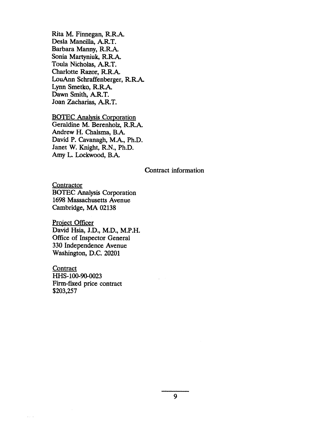Rita M, Finnegan, R.R.A. Desla Mancilla, A.R.T. Barbara Manny, R.R.A. Sonia Martyniuk, R.R.A. Toula Nicholas, AR.T. Charlotte Razor, R.R.A. LouAnn Schraffenberger, R.R.A. Lynn Smetko, R.R.A. Dawn Smith, A.R.T. Joan Zacharias, A.R.T.

BOTEC Analvsis Corporation Geraldine M. Berenholz, R.R.A. Andrew H. Chalsma, B.A. David P. Cavanagh, M.A., Ph.D. Janet W. Knight, R.N., Ph.D. Amy L. Lockwood, B.A.

#### Contract information

**Contractor**  BOTEC Analysis Corporation 1698 Massachusetts Avenue Cambridge, MA 02138

Proiect Officer David Hsia, J.D., M.D., M.P.H. Office of Inspector General 330 Independence Avenue Washington, D.C. 20201

**Contract**  HHS-1OO-9O-OO23 Firm-fixed price contract \$203,257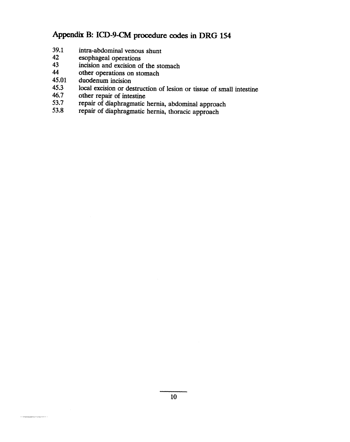### **Appendix B: ED-9-CM procedure codes in DRG 154�**

- 39.1 intra-abdominal venous shunt<br>42 esophageal operations
- 
- 42 esophageal operations 43 incision and excision of the stomach
- 44 other operations on stomach<br>45.01 duodenum incision
- 

- 45.01 duodenum incision 45.3 local excision or destruction of lesion or tissue of small intestine
- 
- 46.7 other repair of intestine 53.7 repair of diaphragmatic hernia, abdominal approach
- 53.8 repair of diaphragmatic hernia, thoracic approach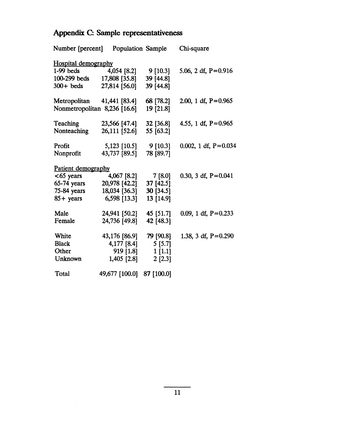### Appendix C: Sample representativeness

| Number (percent) Population Sample |                       |            | Chi-square             |  |  |  |  |
|------------------------------------|-----------------------|------------|------------------------|--|--|--|--|
| <b>Hospital demography</b>         |                       |            |                        |  |  |  |  |
| $1-99$ beds                        | 4,054 [8.2]           | 9 [10.3]   | 5.06, 2 df, $P=0.916$  |  |  |  |  |
| 100-299 beds 17,808 [35.8]         |                       | 39 [44.8]  |                        |  |  |  |  |
| $300+$ beds                        | 27,814 [56.0]         | 39 [44.8]  |                        |  |  |  |  |
| Metropolitan 41,441 [83.4]         |                       | 68 [78.2]  | 2.00, 1 df, $P=0.965$  |  |  |  |  |
| Nonmetropolitan 8,236 [16.6]       |                       | 19 [21.8]  |                        |  |  |  |  |
| Teaching                           | 23,566 [47.4]         | 32 [36.8]  | 4.55, 1 df, $P=0.965$  |  |  |  |  |
| Nonteaching                        | 26,111 [52.6]         | 55 [63.2]  |                        |  |  |  |  |
| Profit                             | 5,123 [10.5] 9 [10.3] |            | 0.002, 1 df, $P=0.034$ |  |  |  |  |
| Nonprofit                          | 43,737 [89.5]         | 78 [89.7]  |                        |  |  |  |  |
| Patient demography                 |                       |            |                        |  |  |  |  |
| $<65$ years                        | 4,067 [8.2]           | 7 [8.0]    | 0.30, 3 df, $P=0.041$  |  |  |  |  |
| $65-74$ years                      | 20,978 [42.2]         | 37 [42.5]  |                        |  |  |  |  |
| 75-84 years                        | 18,034 [36.3]         | 30 [34.5]  |                        |  |  |  |  |
| $85 + \text{ years}$               | 6,598 [13.3]          | 13 [14.9]  |                        |  |  |  |  |
| Male                               | 24,941 [50.2]         | 45 [51.7]  | 0.09, 1 df, $P=0.233$  |  |  |  |  |
| Female                             | 24,736 [49.8]         | 42 [48.3]  |                        |  |  |  |  |
| White                              | 43,176 [86.9]         | 79 [90.8]  | 1.38, 3 df, $P=0.290$  |  |  |  |  |
| <b>Black</b>                       | 4,177 [8.4]           | 5[5.7]     |                        |  |  |  |  |
| Other                              | 919 [1.8]             | 1[1.1]     |                        |  |  |  |  |
| Unknown                            | $1,405$ [2.8]         | 2[2.3]     |                        |  |  |  |  |
| Total                              | 49,677 [100.0]        | 87 [100.0] |                        |  |  |  |  |

 $\sim 400$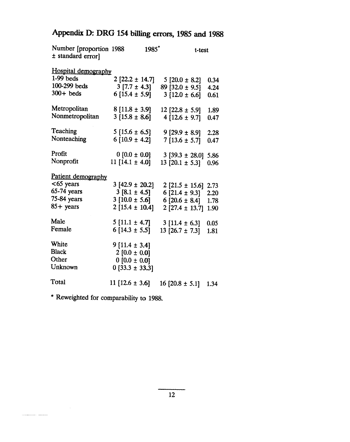### Appendix D: DRG 154 billing errors, 1985 and 1988

| Number [proportion 1988]<br>± standard error] |                     | 1985"             |                       | t-test |  |  |  |
|-----------------------------------------------|---------------------|-------------------|-----------------------|--------|--|--|--|
| Hospital demography                           |                     |                   |                       |        |  |  |  |
| $1-99$ beds                                   | $2[22.2 \pm 14.7]$  |                   | 5 $[20.0 \pm 8.2]$    | 0.34   |  |  |  |
| 100-299 beds                                  |                     | $3 [7.7 \pm 4.3]$ | $89$ [32.0 ± 9.5]     | 4.24   |  |  |  |
| $300 + \text{beds}$                           | $6[15.4 \pm 5.9]$   |                   | $3 [12.0 \pm 6.6]$    | 0.61   |  |  |  |
| Metropolitan                                  | $8[11.8 \pm 3.9]$   |                   | $12$ [22.8 $\pm$ 5.9] | 1.89   |  |  |  |
| Nonmetropolitan                               | $3[15.8 \pm 8.6]$   |                   | 4 $[12.6 \pm 9.7]$    | 0.47   |  |  |  |
| Teaching                                      | $5[15.6 \pm 6.5]$   |                   | $9[29.9 \pm 8.9]$     | 2.28   |  |  |  |
| Nonteaching                                   | $6[10.9 \pm 4.2]$   |                   | $7[13.6 \pm 5.7]$     | 0.47   |  |  |  |
| Profit                                        |                     | $0[0.0 \pm 0.0]$  | $3[39.3 \pm 28.0]$    | 5.86   |  |  |  |
| Nonprofit                                     | 11 [14.1 $\pm$ 4.0] |                   | 13 $[20.1 \pm 5.3]$   | 0.96   |  |  |  |
| Patient demography                            |                     |                   |                       |        |  |  |  |
| $<65$ years                                   | $3[42.9 \pm 20.2]$  |                   | $2[21.5 \pm 15.6]$    | 2.73   |  |  |  |
| 65-74 years                                   |                     | $3[8.1 \pm 4.5]$  | $6[21.4 \pm 9.3]$     | 2.20   |  |  |  |
| 75-84 years                                   | $3[10.0 \pm 5.6]$   |                   | $6[20.6 \pm 8.4]$     | 1.78   |  |  |  |
| $85 + \text{years}$                           | $2[15.4 \pm 10.4]$  |                   | $2[27.4 \pm 13.7]$    | 1.90   |  |  |  |
| Male                                          | $5[11.1 \pm 4.7]$   |                   | $3[11.4 \pm 6.3]$     | 0.05   |  |  |  |
| Female                                        | 6 $[14.3 \pm 5.5]$  |                   | 13 $[26.7 \pm 7.3]$   | 1.81   |  |  |  |
| White                                         | $9[11.4 \pm 3.4]$   |                   |                       |        |  |  |  |
| <b>Black</b>                                  | $2[0.0 \pm 0.0]$    |                   |                       |        |  |  |  |
| Other                                         | $0[0.0 \pm 0.0]$    |                   |                       |        |  |  |  |
| Unknown                                       | $0[33.3 \pm 33.3]$  |                   |                       |        |  |  |  |
| Total                                         | 11 $[12.6 \pm 3.6]$ |                   | $16[20.8 \pm 5.1]$    | 1.34   |  |  |  |

\* Reweighed for comparability to 1988.

 $\label{eq:conformal} \begin{aligned} \text{Tr}(\mathbf{r},\mathbf{r}) = \text{Tr}(\mathbf{r},\mathbf{r}) = \text{Tr}(\mathbf{r},\mathbf{r}) = \text{Tr}(\mathbf{r},\mathbf{r}) = \text{Tr}(\mathbf{r},\mathbf{r}) = \text{Tr}(\mathbf{r},\mathbf{r}) = \text{Tr}(\mathbf{r},\mathbf{r}) = \text{Tr}(\mathbf{r},\mathbf{r}) = \text{Tr}(\mathbf{r},\mathbf{r}) = \text{Tr}(\mathbf{r},\mathbf{r}) = \text{Tr}(\mathbf{r},\mathbf{r}) = \text{Tr}(\mathbf$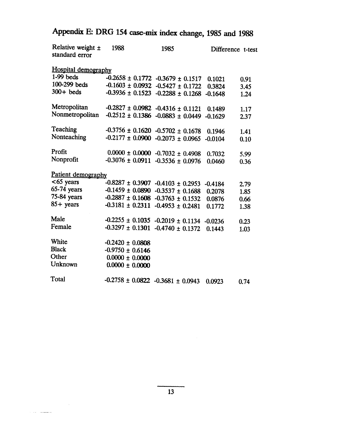| Appendix E: DRG 154 case-mix index change, 1985 and 1988 |  |  |  |  |  |  |  |  |  |
|----------------------------------------------------------|--|--|--|--|--|--|--|--|--|
|----------------------------------------------------------|--|--|--|--|--|--|--|--|--|

| Relative weight ±<br>standard error | 1988                 | 1985                                      | Difference t-test |      |
|-------------------------------------|----------------------|-------------------------------------------|-------------------|------|
| <b>Hospital demography</b>          |                      |                                           |                   |      |
| $1-99$ beds                         |                      | $-0.2658 \pm 0.1772$ $-0.3679 \pm 0.1517$ | 0.1021            | 0.91 |
| 100-299 beds                        |                      | $-0.1603 \pm 0.0932$ $-0.5427 \pm 0.1722$ | 0.3824            | 3.45 |
| $300+$ beds                         |                      | $-0.3936 \pm 0.1523$ $-0.2288 \pm 0.1268$ | $-0.1648$         | 1.24 |
| Metropolitan                        |                      | $-0.2827 \pm 0.0982$ $-0.4316 \pm 0.1121$ | 0.1489            | 1.17 |
| Nonmetropolitan                     |                      | $-0.2512 \pm 0.1386 -0.0883 \pm 0.0449$   | $-0.1629$         | 2.37 |
| Teaching                            |                      | $-0.3756 \pm 0.1620$ $-0.5702 \pm 0.1678$ | 0.1946            | 1.41 |
| Nonteaching                         |                      | $-0.2177 \pm 0.0900 -0.2073 \pm 0.0965$   | $-0.0104$         | 0.10 |
| Profit                              |                      | $0.0000 \pm 0.0000 -0.7032 \pm 0.4908$    | 0.7032            | 5.99 |
| Nonprofit                           |                      | $-0.3076 \pm 0.0911 -0.3536 \pm 0.0976$   | 0.0460            | 0.36 |
| Patient demography                  |                      |                                           |                   |      |
| $<65$ years                         |                      | $-0.8287 \pm 0.3907$ $-0.4103 \pm 0.2953$ | $-0.4184$         | 2.79 |
| 65-74 years                         | $-0.1459 \pm 0.0890$ | $-0.3537 \pm 0.1688$                      | 0.2078            | 1.85 |
| 75-84 years                         |                      | $-0.2887 \pm 0.1608$ $-0.3763 \pm 0.1532$ | 0.0876            | 0.66 |
| $85 + \text{ years}$                |                      | $-0.3181 \pm 0.2311 -0.4953 \pm 0.2481$   | 0.1772            | 1.38 |
| Male                                |                      | $-0.2255 \pm 0.1035 -0.2019 \pm 0.1134$   | $-0.0236$         | 0.23 |
| Female                              |                      | $-0.3297 \pm 0.1301 -0.4740 \pm 0.1372$   | 0.1443            | 1.03 |
| White                               | $-0.2420 \pm 0.0808$ |                                           |                   |      |
| <b>Black</b>                        | $-0.9750 \pm 0.6146$ |                                           |                   |      |
| Other                               | $0.0000 \pm 0.0000$  |                                           |                   |      |
| Unknown                             | $0.0000 \pm 0.0000$  |                                           |                   |      |
| Total                               |                      | $-0.2758 \pm 0.0822$ $-0.3681 \pm 0.0943$ | 0.0923            | 0.74 |

 $\label{eq:2.1} \frac{1}{\sqrt{2}}\int_{\mathbb{R}^3}\frac{1}{\sqrt{2}}\left(\frac{1}{\sqrt{2}}\right)^2\frac{1}{\sqrt{2}}\left(\frac{1}{\sqrt{2}}\right)^2\frac{1}{\sqrt{2}}\left(\frac{1}{\sqrt{2}}\right)^2.$ 

 $\hat{\phi}$  , and  $\hat{\phi}$  is a constant of  $\hat{\phi}$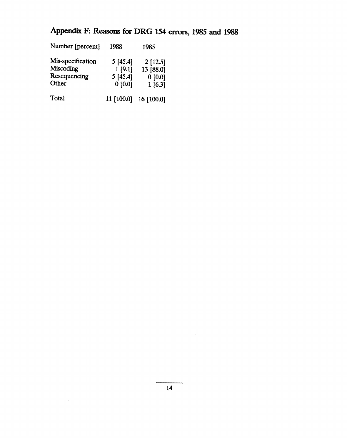## Appendix F: Reasons for DRG 154 errors, 1985 and 1988

| Number [percent]  | 1988       | 1985       |
|-------------------|------------|------------|
| Mis-specification | 5[45.4]    | $2$ [12.5] |
| Miscoding         | 1 [9.1]    | 13 [88.0]  |
| Resequencing      | 5[45.4]    | 0 [0.0]    |
| Other             | 0 [0.0]    | 1[6.3]     |
| Total             | 11 [100.0] | 16 [100.0] |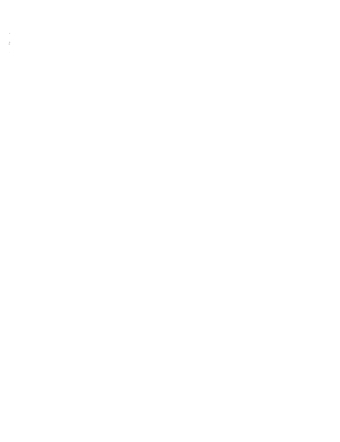$\hat{\mathcal{A}}$  $\frac{3}{2}$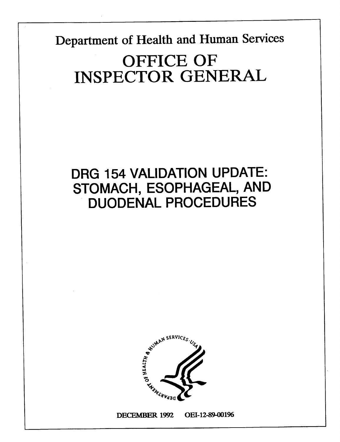**Department of Health and Human** Services

# **OFFICE OF NSPECTOR GENERAL**

## **DRG 154 VALIDATION UPDATE: STOMACH, ESOPHAGEAL, AND DUODENAL PROCEDURES**



DECEMBER 1992 OEI-12-89-001%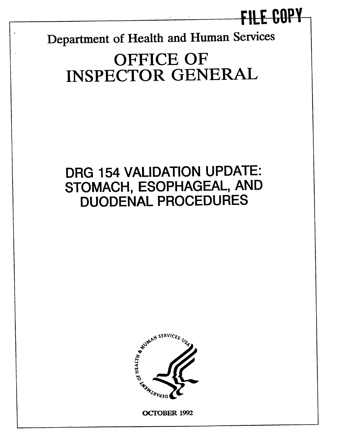# FILE COPY

**Department of Health and Human Services** 

# **OFFICE OF INSPECTOR GENERAL**

## **DRG 154 VALIDATION UPDATE: STOMACH, ESOPHAGEAL,** AND **DUODENAL PROCEDURES**



OCTOBER 1992